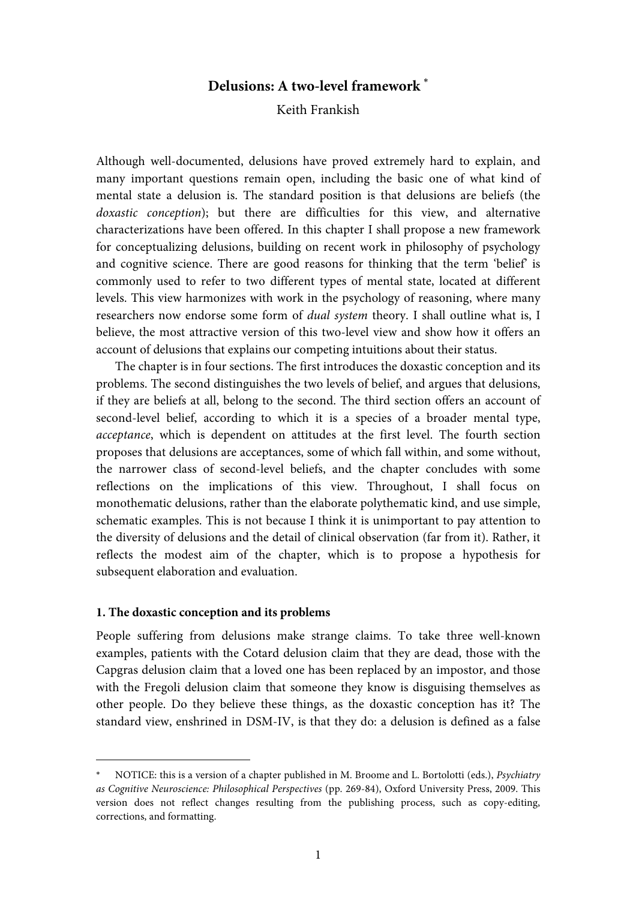## **Delusions: A two-level framework** <sup>∗</sup>

Keith Frankish

Although well-documented, delusions have proved extremely hard to explain, and many important questions remain open, including the basic one of what kind of mental state a delusion is. The standard position is that delusions are beliefs (the doxastic conception); but there are difficulties for this view, and alternative characterizations have been offered. In this chapter I shall propose a new framework for conceptualizing delusions, building on recent work in philosophy of psychology and cognitive science. There are good reasons for thinking that the term 'belief' is commonly used to refer to two different types of mental state, located at different levels. This view harmonizes with work in the psychology of reasoning, where many researchers now endorse some form of dual system theory. I shall outline what is, I believe, the most attractive version of this two-level view and show how it offers an account of delusions that explains our competing intuitions about their status.

The chapter is in four sections. The first introduces the doxastic conception and its problems. The second distinguishes the two levels of belief, and argues that delusions, if they are beliefs at all, belong to the second. The third section offers an account of second-level belief, according to which it is a species of a broader mental type, acceptance, which is dependent on attitudes at the first level. The fourth section proposes that delusions are acceptances, some of which fall within, and some without, the narrower class of second-level beliefs, and the chapter concludes with some reflections on the implications of this view. Throughout, I shall focus on monothematic delusions, rather than the elaborate polythematic kind, and use simple, schematic examples. This is not because I think it is unimportant to pay attention to the diversity of delusions and the detail of clinical observation (far from it). Rather, it reflects the modest aim of the chapter, which is to propose a hypothesis for subsequent elaboration and evaluation.

#### **1. The doxastic conception and its problems**

 $\overline{a}$ 

People suffering from delusions make strange claims. To take three well-known examples, patients with the Cotard delusion claim that they are dead, those with the Capgras delusion claim that a loved one has been replaced by an impostor, and those with the Fregoli delusion claim that someone they know is disguising themselves as other people. Do they believe these things, as the doxastic conception has it? The standard view, enshrined in DSM-IV, is that they do: a delusion is defined as a false

NOTICE: this is a version of a chapter published in M. Broome and L. Bortolotti (eds.), Psychiatry as Cognitive Neuroscience: Philosophical Perspectives (pp. 269-84), Oxford University Press, 2009. This version does not reflect changes resulting from the publishing process, such as copy-editing, corrections, and formatting.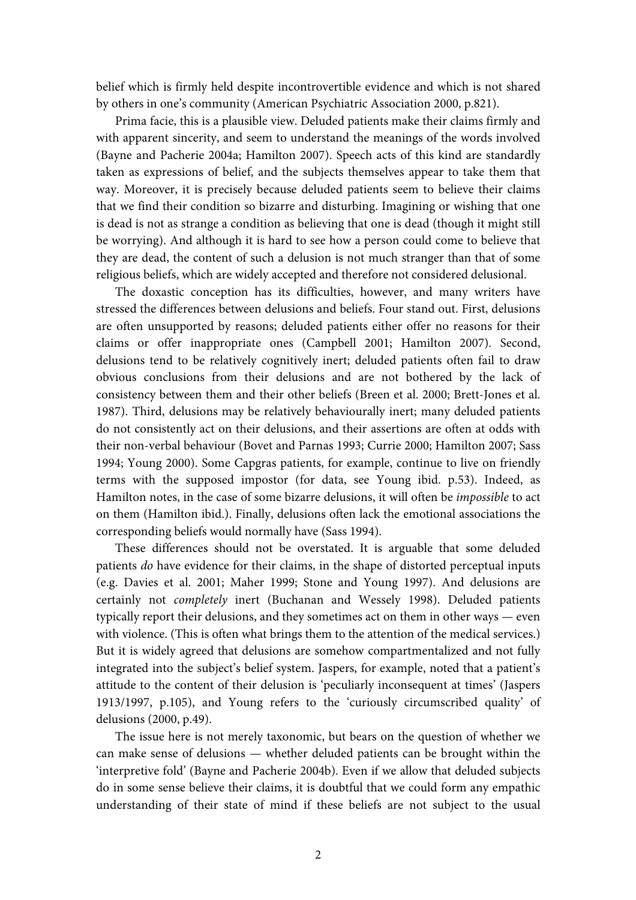belief which is firmly held despite incontrovertible evidence and which is not shared by others in one's community (American Psychiatric Association 2000, p.821).

Prima facie, this is a plausible view. Deluded patients make their claims firmly and with apparent sincerity, and seem to understand the meanings of the words involved (Bayne and Pacherie 2004a; Hamilton 2007). Speech acts of this kind are standardly taken as expressions of belief, and the subjects themselves appear to take them that way. Moreover, it is precisely because deluded patients seem to believe their claims that we find their condition so bizarre and disturbing. Imagining or wishing that one is dead is not as strange a condition as believing that one is dead (though it might still be worrying). And although it is hard to see how a person could come to believe that they are dead, the content of such a delusion is not much stranger than that of some religious beliefs, which are widely accepted and therefore not considered delusional.

The doxastic conception has its difficulties, however, and many writers have stressed the differences between delusions and beliefs. Four stand out. First, delusions are often unsupported by reasons; deluded patients either offer no reasons for their claims or offer inappropriate ones (Campbell 2001; Hamilton 2007). Second, delusions tend to be relatively cognitively inert; deluded patients often fail to draw obvious conclusions from their delusions and are not bothered by the lack of consistency between them and their other beliefs (Breen et al. 2000; Brett-Jones et al. 1987). Third, delusions may be relatively behaviourally inert; many deluded patients do not consistently act on their delusions, and their assertions are often at odds with their non-verbal behaviour (Bovet and Parnas 1993; Currie 2000; Hamilton 2007; Sass 1994; Young 2000). Some Capgras patients, for example, continue to live on friendly terms with the supposed impostor (for data, see Young ibid. p.53). Indeed, as Hamilton notes, in the case of some bizarre delusions, it will often be impossible to act on them (Hamilton ibid.). Finally, delusions often lack the emotional associations the corresponding beliefs would normally have (Sass 1994).

These differences should not be overstated. It is arguable that some deluded patients do have evidence for their claims, in the shape of distorted perceptual inputs (e.g. Davies et al. 2001; Maher 1999; Stone and Young 1997). And delusions are certainly not completely inert (Buchanan and Wessely 1998). Deluded patients typically report their delusions, and they sometimes act on them in other ways — even with violence. (This is often what brings them to the attention of the medical services.) But it is widely agreed that delusions are somehow compartmentalized and not fully integrated into the subject's belief system. Jaspers, for example, noted that a patient's attitude to the content of their delusion is 'peculiarly inconsequent at times' (Jaspers 1913/1997, p.105), and Young refers to the 'curiously circumscribed quality' of delusions (2000, p.49).

The issue here is not merely taxonomic, but bears on the question of whether we can make sense of delusions — whether deluded patients can be brought within the 'interpretive fold' (Bayne and Pacherie 2004b). Even if we allow that deluded subjects do in some sense believe their claims, it is doubtful that we could form any empathic understanding of their state of mind if these beliefs are not subject to the usual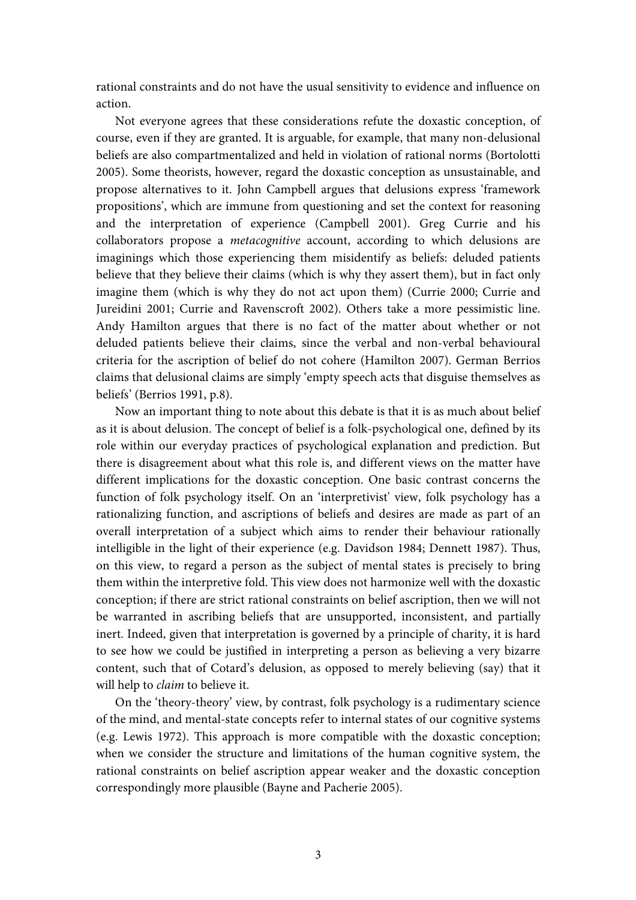rational constraints and do not have the usual sensitivity to evidence and influence on action.

Not everyone agrees that these considerations refute the doxastic conception, of course, even if they are granted. It is arguable, for example, that many non-delusional beliefs are also compartmentalized and held in violation of rational norms (Bortolotti 2005). Some theorists, however, regard the doxastic conception as unsustainable, and propose alternatives to it. John Campbell argues that delusions express 'framework propositions', which are immune from questioning and set the context for reasoning and the interpretation of experience (Campbell 2001). Greg Currie and his collaborators propose a metacognitive account, according to which delusions are imaginings which those experiencing them misidentify as beliefs: deluded patients believe that they believe their claims (which is why they assert them), but in fact only imagine them (which is why they do not act upon them) (Currie 2000; Currie and Jureidini 2001; Currie and Ravenscroft 2002). Others take a more pessimistic line. Andy Hamilton argues that there is no fact of the matter about whether or not deluded patients believe their claims, since the verbal and non-verbal behavioural criteria for the ascription of belief do not cohere (Hamilton 2007). German Berrios claims that delusional claims are simply 'empty speech acts that disguise themselves as beliefs' (Berrios 1991, p.8).

Now an important thing to note about this debate is that it is as much about belief as it is about delusion. The concept of belief is a folk-psychological one, defined by its role within our everyday practices of psychological explanation and prediction. But there is disagreement about what this role is, and different views on the matter have different implications for the doxastic conception. One basic contrast concerns the function of folk psychology itself. On an 'interpretivist' view, folk psychology has a rationalizing function, and ascriptions of beliefs and desires are made as part of an overall interpretation of a subject which aims to render their behaviour rationally intelligible in the light of their experience (e.g. Davidson 1984; Dennett 1987). Thus, on this view, to regard a person as the subject of mental states is precisely to bring them within the interpretive fold. This view does not harmonize well with the doxastic conception; if there are strict rational constraints on belief ascription, then we will not be warranted in ascribing beliefs that are unsupported, inconsistent, and partially inert. Indeed, given that interpretation is governed by a principle of charity, it is hard to see how we could be justified in interpreting a person as believing a very bizarre content, such that of Cotard's delusion, as opposed to merely believing (say) that it will help to *claim* to believe it.

On the 'theory-theory' view, by contrast, folk psychology is a rudimentary science of the mind, and mental-state concepts refer to internal states of our cognitive systems (e.g. Lewis 1972). This approach is more compatible with the doxastic conception; when we consider the structure and limitations of the human cognitive system, the rational constraints on belief ascription appear weaker and the doxastic conception correspondingly more plausible (Bayne and Pacherie 2005).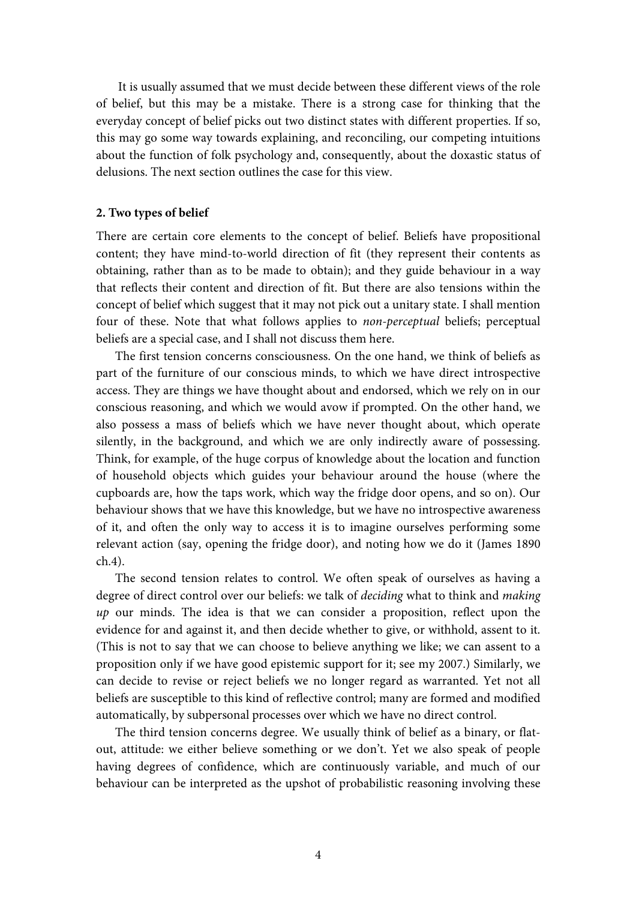It is usually assumed that we must decide between these different views of the role of belief, but this may be a mistake. There is a strong case for thinking that the everyday concept of belief picks out two distinct states with different properties. If so, this may go some way towards explaining, and reconciling, our competing intuitions about the function of folk psychology and, consequently, about the doxastic status of delusions. The next section outlines the case for this view.

### **2. Two types of belief**

There are certain core elements to the concept of belief. Beliefs have propositional content; they have mind-to-world direction of fit (they represent their contents as obtaining, rather than as to be made to obtain); and they guide behaviour in a way that reflects their content and direction of fit. But there are also tensions within the concept of belief which suggest that it may not pick out a unitary state. I shall mention four of these. Note that what follows applies to non-perceptual beliefs; perceptual beliefs are a special case, and I shall not discuss them here.

The first tension concerns consciousness. On the one hand, we think of beliefs as part of the furniture of our conscious minds, to which we have direct introspective access. They are things we have thought about and endorsed, which we rely on in our conscious reasoning, and which we would avow if prompted. On the other hand, we also possess a mass of beliefs which we have never thought about, which operate silently, in the background, and which we are only indirectly aware of possessing. Think, for example, of the huge corpus of knowledge about the location and function of household objects which guides your behaviour around the house (where the cupboards are, how the taps work, which way the fridge door opens, and so on). Our behaviour shows that we have this knowledge, but we have no introspective awareness of it, and often the only way to access it is to imagine ourselves performing some relevant action (say, opening the fridge door), and noting how we do it (James 1890 ch.4).

The second tension relates to control. We often speak of ourselves as having a degree of direct control over our beliefs: we talk of deciding what to think and making up our minds. The idea is that we can consider a proposition, reflect upon the evidence for and against it, and then decide whether to give, or withhold, assent to it. (This is not to say that we can choose to believe anything we like; we can assent to a proposition only if we have good epistemic support for it; see my 2007.) Similarly, we can decide to revise or reject beliefs we no longer regard as warranted. Yet not all beliefs are susceptible to this kind of reflective control; many are formed and modified automatically, by subpersonal processes over which we have no direct control.

The third tension concerns degree. We usually think of belief as a binary, or flatout, attitude: we either believe something or we don't. Yet we also speak of people having degrees of confidence, which are continuously variable, and much of our behaviour can be interpreted as the upshot of probabilistic reasoning involving these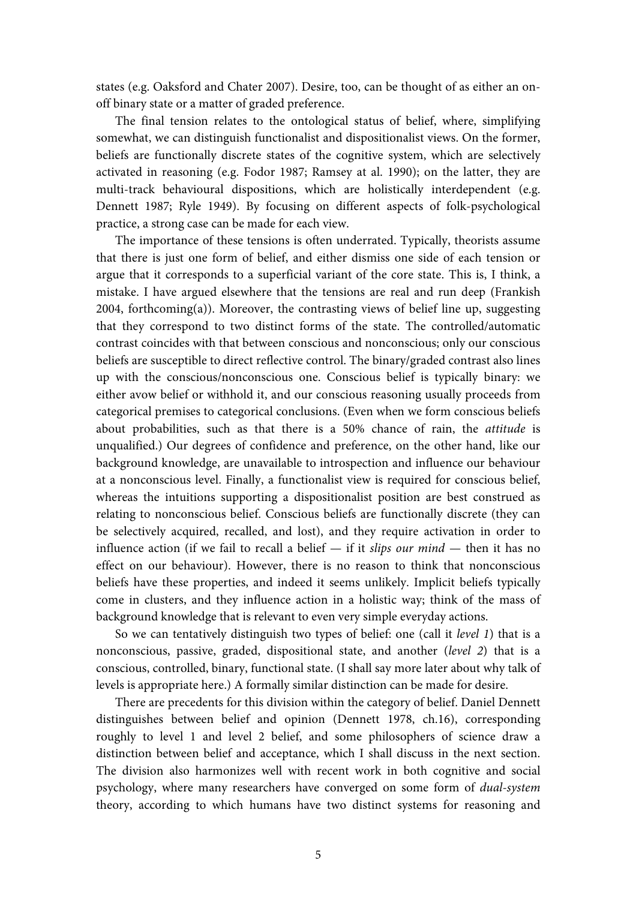states (e.g. Oaksford and Chater 2007). Desire, too, can be thought of as either an onoff binary state or a matter of graded preference.

The final tension relates to the ontological status of belief, where, simplifying somewhat, we can distinguish functionalist and dispositionalist views. On the former, beliefs are functionally discrete states of the cognitive system, which are selectively activated in reasoning (e.g. Fodor 1987; Ramsey at al. 1990); on the latter, they are multi-track behavioural dispositions, which are holistically interdependent (e.g. Dennett 1987; Ryle 1949). By focusing on different aspects of folk-psychological practice, a strong case can be made for each view.

The importance of these tensions is often underrated. Typically, theorists assume that there is just one form of belief, and either dismiss one side of each tension or argue that it corresponds to a superficial variant of the core state. This is, I think, a mistake. I have argued elsewhere that the tensions are real and run deep (Frankish  $2004$ , forthcoming(a)). Moreover, the contrasting views of belief line up, suggesting that they correspond to two distinct forms of the state. The controlled/automatic contrast coincides with that between conscious and nonconscious; only our conscious beliefs are susceptible to direct reflective control. The binary/graded contrast also lines up with the conscious/nonconscious one. Conscious belief is typically binary: we either avow belief or withhold it, and our conscious reasoning usually proceeds from categorical premises to categorical conclusions. (Even when we form conscious beliefs about probabilities, such as that there is a 50% chance of rain, the attitude is unqualified.) Our degrees of confidence and preference, on the other hand, like our background knowledge, are unavailable to introspection and influence our behaviour at a nonconscious level. Finally, a functionalist view is required for conscious belief, whereas the intuitions supporting a dispositionalist position are best construed as relating to nonconscious belief. Conscious beliefs are functionally discrete (they can be selectively acquired, recalled, and lost), and they require activation in order to influence action (if we fail to recall a belief  $-$  if it *slips our mind*  $-$  then it has no effect on our behaviour). However, there is no reason to think that nonconscious beliefs have these properties, and indeed it seems unlikely. Implicit beliefs typically come in clusters, and they influence action in a holistic way; think of the mass of background knowledge that is relevant to even very simple everyday actions.

So we can tentatively distinguish two types of belief: one (call it level 1) that is a nonconscious, passive, graded, dispositional state, and another (level 2) that is a conscious, controlled, binary, functional state. (I shall say more later about why talk of levels is appropriate here.) A formally similar distinction can be made for desire.

There are precedents for this division within the category of belief. Daniel Dennett distinguishes between belief and opinion (Dennett 1978, ch.16), corresponding roughly to level 1 and level 2 belief, and some philosophers of science draw a distinction between belief and acceptance, which I shall discuss in the next section. The division also harmonizes well with recent work in both cognitive and social psychology, where many researchers have converged on some form of dual-system theory, according to which humans have two distinct systems for reasoning and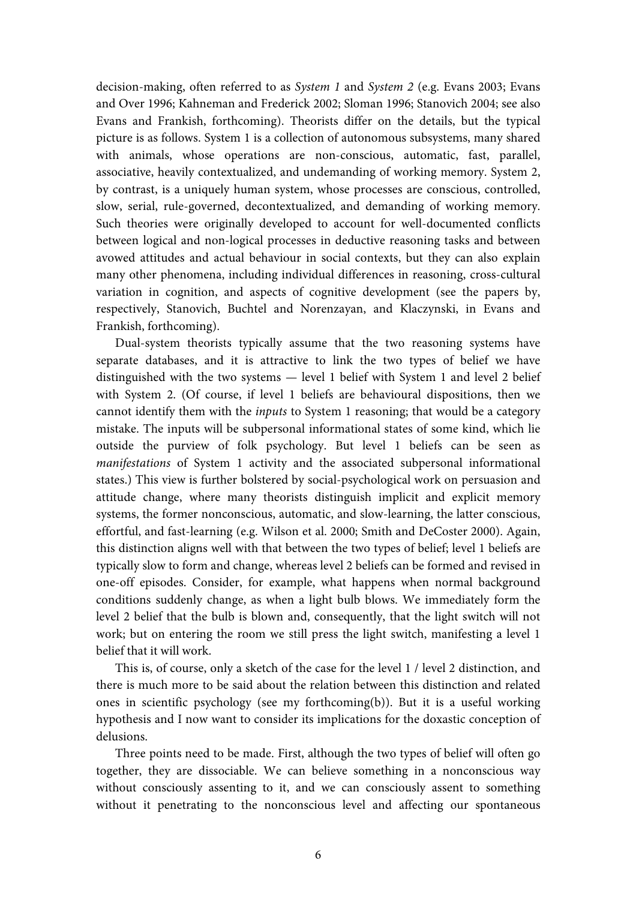decision-making, often referred to as System 1 and System 2 (e.g. Evans 2003; Evans and Over 1996; Kahneman and Frederick 2002; Sloman 1996; Stanovich 2004; see also Evans and Frankish, forthcoming). Theorists differ on the details, but the typical picture is as follows. System 1 is a collection of autonomous subsystems, many shared with animals, whose operations are non-conscious, automatic, fast, parallel, associative, heavily contextualized, and undemanding of working memory. System 2, by contrast, is a uniquely human system, whose processes are conscious, controlled, slow, serial, rule-governed, decontextualized, and demanding of working memory. Such theories were originally developed to account for well-documented conflicts between logical and non-logical processes in deductive reasoning tasks and between avowed attitudes and actual behaviour in social contexts, but they can also explain many other phenomena, including individual differences in reasoning, cross-cultural variation in cognition, and aspects of cognitive development (see the papers by, respectively, Stanovich, Buchtel and Norenzayan, and Klaczynski, in Evans and Frankish, forthcoming).

Dual-system theorists typically assume that the two reasoning systems have separate databases, and it is attractive to link the two types of belief we have distinguished with the two systems — level 1 belief with System 1 and level 2 belief with System 2. (Of course, if level 1 beliefs are behavioural dispositions, then we cannot identify them with the *inputs* to System 1 reasoning; that would be a category mistake. The inputs will be subpersonal informational states of some kind, which lie outside the purview of folk psychology. But level 1 beliefs can be seen as manifestations of System 1 activity and the associated subpersonal informational states.) This view is further bolstered by social-psychological work on persuasion and attitude change, where many theorists distinguish implicit and explicit memory systems, the former nonconscious, automatic, and slow-learning, the latter conscious, effortful, and fast-learning (e.g. Wilson et al. 2000; Smith and DeCoster 2000). Again, this distinction aligns well with that between the two types of belief; level 1 beliefs are typically slow to form and change, whereas level 2 beliefs can be formed and revised in one-off episodes. Consider, for example, what happens when normal background conditions suddenly change, as when a light bulb blows. We immediately form the level 2 belief that the bulb is blown and, consequently, that the light switch will not work; but on entering the room we still press the light switch, manifesting a level 1 belief that it will work.

This is, of course, only a sketch of the case for the level 1 / level 2 distinction, and there is much more to be said about the relation between this distinction and related ones in scientific psychology (see my forthcoming(b)). But it is a useful working hypothesis and I now want to consider its implications for the doxastic conception of delusions.

Three points need to be made. First, although the two types of belief will often go together, they are dissociable. We can believe something in a nonconscious way without consciously assenting to it, and we can consciously assent to something without it penetrating to the nonconscious level and affecting our spontaneous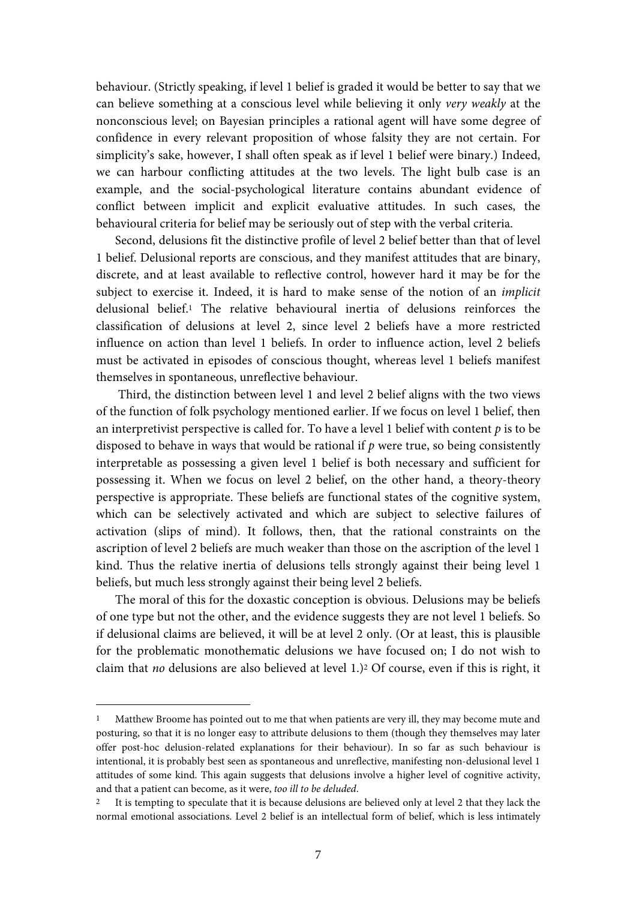behaviour. (Strictly speaking, if level 1 belief is graded it would be better to say that we can believe something at a conscious level while believing it only very weakly at the nonconscious level; on Bayesian principles a rational agent will have some degree of confidence in every relevant proposition of whose falsity they are not certain. For simplicity's sake, however, I shall often speak as if level 1 belief were binary.) Indeed, we can harbour conflicting attitudes at the two levels. The light bulb case is an example, and the social-psychological literature contains abundant evidence of conflict between implicit and explicit evaluative attitudes. In such cases, the behavioural criteria for belief may be seriously out of step with the verbal criteria.

Second, delusions fit the distinctive profile of level 2 belief better than that of level 1 belief. Delusional reports are conscious, and they manifest attitudes that are binary, discrete, and at least available to reflective control, however hard it may be for the subject to exercise it. Indeed, it is hard to make sense of the notion of an implicit delusional belief.1 The relative behavioural inertia of delusions reinforces the classification of delusions at level 2, since level 2 beliefs have a more restricted influence on action than level 1 beliefs. In order to influence action, level 2 beliefs must be activated in episodes of conscious thought, whereas level 1 beliefs manifest themselves in spontaneous, unreflective behaviour.

 Third, the distinction between level 1 and level 2 belief aligns with the two views of the function of folk psychology mentioned earlier. If we focus on level 1 belief, then an interpretivist perspective is called for. To have a level 1 belief with content  $p$  is to be disposed to behave in ways that would be rational if  $p$  were true, so being consistently interpretable as possessing a given level 1 belief is both necessary and sufficient for possessing it. When we focus on level 2 belief, on the other hand, a theory-theory perspective is appropriate. These beliefs are functional states of the cognitive system, which can be selectively activated and which are subject to selective failures of activation (slips of mind). It follows, then, that the rational constraints on the ascription of level 2 beliefs are much weaker than those on the ascription of the level 1 kind. Thus the relative inertia of delusions tells strongly against their being level 1 beliefs, but much less strongly against their being level 2 beliefs.

The moral of this for the doxastic conception is obvious. Delusions may be beliefs of one type but not the other, and the evidence suggests they are not level 1 beliefs. So if delusional claims are believed, it will be at level 2 only. (Or at least, this is plausible for the problematic monothematic delusions we have focused on; I do not wish to claim that no delusions are also believed at level 1.)2 Of course, even if this is right, it

-

<sup>&</sup>lt;sup>1</sup> Matthew Broome has pointed out to me that when patients are very ill, they may become mute and posturing, so that it is no longer easy to attribute delusions to them (though they themselves may later offer post-hoc delusion-related explanations for their behaviour). In so far as such behaviour is intentional, it is probably best seen as spontaneous and unreflective, manifesting non-delusional level 1 attitudes of some kind. This again suggests that delusions involve a higher level of cognitive activity, and that a patient can become, as it were, too ill to be deluded.

<sup>&</sup>lt;sup>2</sup> It is tempting to speculate that it is because delusions are believed only at level 2 that they lack the normal emotional associations. Level 2 belief is an intellectual form of belief, which is less intimately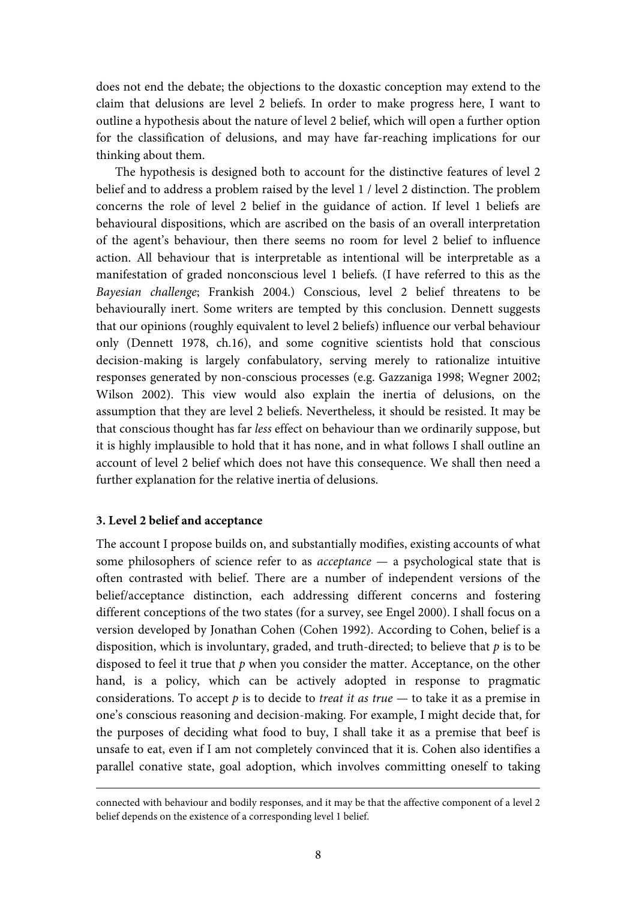does not end the debate; the objections to the doxastic conception may extend to the claim that delusions are level 2 beliefs. In order to make progress here, I want to outline a hypothesis about the nature of level 2 belief, which will open a further option for the classification of delusions, and may have far-reaching implications for our thinking about them.

The hypothesis is designed both to account for the distinctive features of level 2 belief and to address a problem raised by the level 1 / level 2 distinction. The problem concerns the role of level 2 belief in the guidance of action. If level 1 beliefs are behavioural dispositions, which are ascribed on the basis of an overall interpretation of the agent's behaviour, then there seems no room for level 2 belief to influence action. All behaviour that is interpretable as intentional will be interpretable as a manifestation of graded nonconscious level 1 beliefs. (I have referred to this as the Bayesian challenge; Frankish 2004.) Conscious, level 2 belief threatens to be behaviourally inert. Some writers are tempted by this conclusion. Dennett suggests that our opinions (roughly equivalent to level 2 beliefs) influence our verbal behaviour only (Dennett 1978, ch.16), and some cognitive scientists hold that conscious decision-making is largely confabulatory, serving merely to rationalize intuitive responses generated by non-conscious processes (e.g. Gazzaniga 1998; Wegner 2002; Wilson 2002). This view would also explain the inertia of delusions, on the assumption that they are level 2 beliefs. Nevertheless, it should be resisted. It may be that conscious thought has far less effect on behaviour than we ordinarily suppose, but it is highly implausible to hold that it has none, and in what follows I shall outline an account of level 2 belief which does not have this consequence. We shall then need a further explanation for the relative inertia of delusions.

## **3. Level 2 belief and acceptance**

-

The account I propose builds on, and substantially modifies, existing accounts of what some philosophers of science refer to as *acceptance*  $-$  a psychological state that is often contrasted with belief. There are a number of independent versions of the belief/acceptance distinction, each addressing different concerns and fostering different conceptions of the two states (for a survey, see Engel 2000). I shall focus on a version developed by Jonathan Cohen (Cohen 1992). According to Cohen, belief is a disposition, which is involuntary, graded, and truth-directed; to believe that  $p$  is to be disposed to feel it true that  $p$  when you consider the matter. Acceptance, on the other hand, is a policy, which can be actively adopted in response to pragmatic considerations. To accept  $p$  is to decide to *treat it as true* — to take it as a premise in one's conscious reasoning and decision-making. For example, I might decide that, for the purposes of deciding what food to buy, I shall take it as a premise that beef is unsafe to eat, even if I am not completely convinced that it is. Cohen also identifies a parallel conative state, goal adoption, which involves committing oneself to taking

connected with behaviour and bodily responses, and it may be that the affective component of a level 2 belief depends on the existence of a corresponding level 1 belief.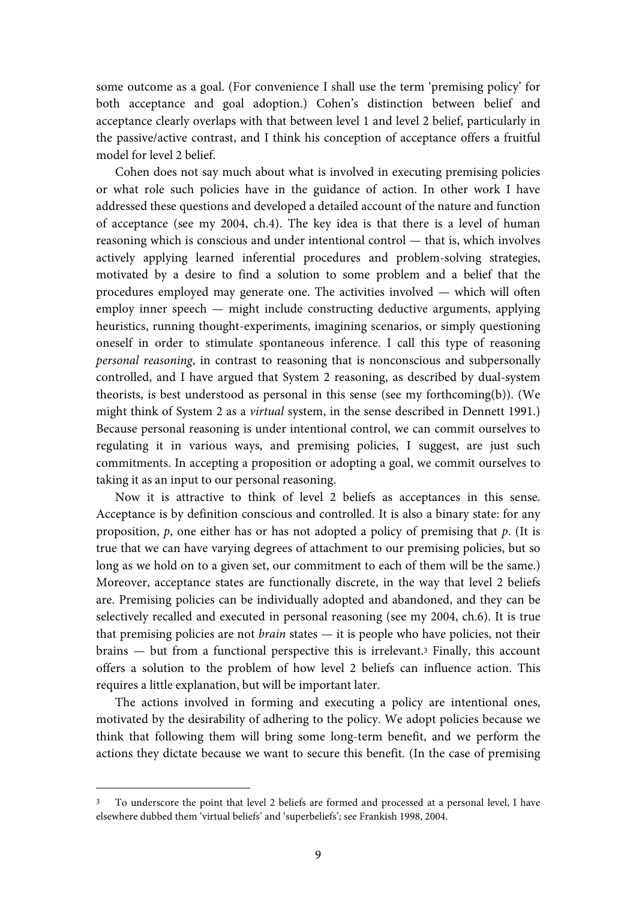some outcome as a goal. (For convenience I shall use the term 'premising policy' for both acceptance and goal adoption.) Cohen's distinction between belief and acceptance clearly overlaps with that between level 1 and level 2 belief, particularly in the passive/active contrast, and I think his conception of acceptance offers a fruitful model for level 2 belief.

Cohen does not say much about what is involved in executing premising policies or what role such policies have in the guidance of action. In other work I have addressed these questions and developed a detailed account of the nature and function of acceptance (see my 2004, ch.4). The key idea is that there is a level of human reasoning which is conscious and under intentional control — that is, which involves actively applying learned inferential procedures and problem-solving strategies, motivated by a desire to find a solution to some problem and a belief that the procedures employed may generate one. The activities involved — which will often employ inner speech — might include constructing deductive arguments, applying heuristics, running thought-experiments, imagining scenarios, or simply questioning oneself in order to stimulate spontaneous inference. I call this type of reasoning personal reasoning, in contrast to reasoning that is nonconscious and subpersonally controlled, and I have argued that System 2 reasoning, as described by dual-system theorists, is best understood as personal in this sense (see my forthcoming(b)). (We might think of System 2 as a virtual system, in the sense described in Dennett 1991.) Because personal reasoning is under intentional control, we can commit ourselves to regulating it in various ways, and premising policies, I suggest, are just such commitments. In accepting a proposition or adopting a goal, we commit ourselves to taking it as an input to our personal reasoning.

Now it is attractive to think of level 2 beliefs as acceptances in this sense. Acceptance is by definition conscious and controlled. It is also a binary state: for any proposition,  $p$ , one either has or has not adopted a policy of premising that  $p$ . (It is true that we can have varying degrees of attachment to our premising policies, but so long as we hold on to a given set, our commitment to each of them will be the same.) Moreover, acceptance states are functionally discrete, in the way that level 2 beliefs are. Premising policies can be individually adopted and abandoned, and they can be selectively recalled and executed in personal reasoning (see my 2004, ch.6). It is true that premising policies are not *brain* states  $-$  it is people who have policies, not their brains — but from a functional perspective this is irrelevant.3 Finally, this account offers a solution to the problem of how level 2 beliefs can influence action. This requires a little explanation, but will be important later.

The actions involved in forming and executing a policy are intentional ones, motivated by the desirability of adhering to the policy. We adopt policies because we think that following them will bring some long-term benefit, and we perform the actions they dictate because we want to secure this benefit. (In the case of premising

-

<sup>&</sup>lt;sup>3</sup> To underscore the point that level 2 beliefs are formed and processed at a personal level, I have elsewhere dubbed them 'virtual beliefs' and 'superbeliefs'; see Frankish 1998, 2004.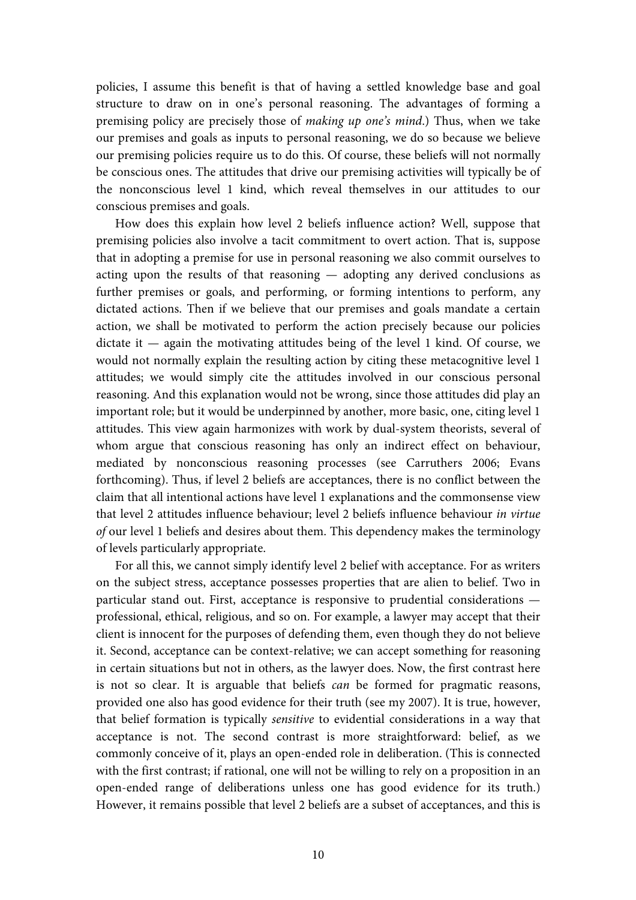policies, I assume this benefit is that of having a settled knowledge base and goal structure to draw on in one's personal reasoning. The advantages of forming a premising policy are precisely those of making up one's mind.) Thus, when we take our premises and goals as inputs to personal reasoning, we do so because we believe our premising policies require us to do this. Of course, these beliefs will not normally be conscious ones. The attitudes that drive our premising activities will typically be of the nonconscious level 1 kind, which reveal themselves in our attitudes to our conscious premises and goals.

How does this explain how level 2 beliefs influence action? Well, suppose that premising policies also involve a tacit commitment to overt action. That is, suppose that in adopting a premise for use in personal reasoning we also commit ourselves to acting upon the results of that reasoning — adopting any derived conclusions as further premises or goals, and performing, or forming intentions to perform, any dictated actions. Then if we believe that our premises and goals mandate a certain action, we shall be motivated to perform the action precisely because our policies dictate it — again the motivating attitudes being of the level 1 kind. Of course, we would not normally explain the resulting action by citing these metacognitive level 1 attitudes; we would simply cite the attitudes involved in our conscious personal reasoning. And this explanation would not be wrong, since those attitudes did play an important role; but it would be underpinned by another, more basic, one, citing level 1 attitudes. This view again harmonizes with work by dual-system theorists, several of whom argue that conscious reasoning has only an indirect effect on behaviour, mediated by nonconscious reasoning processes (see Carruthers 2006; Evans forthcoming). Thus, if level 2 beliefs are acceptances, there is no conflict between the claim that all intentional actions have level 1 explanations and the commonsense view that level 2 attitudes influence behaviour; level 2 beliefs influence behaviour in virtue of our level 1 beliefs and desires about them. This dependency makes the terminology of levels particularly appropriate.

For all this, we cannot simply identify level 2 belief with acceptance. For as writers on the subject stress, acceptance possesses properties that are alien to belief. Two in particular stand out. First, acceptance is responsive to prudential considerations professional, ethical, religious, and so on. For example, a lawyer may accept that their client is innocent for the purposes of defending them, even though they do not believe it. Second, acceptance can be context-relative; we can accept something for reasoning in certain situations but not in others, as the lawyer does. Now, the first contrast here is not so clear. It is arguable that beliefs can be formed for pragmatic reasons, provided one also has good evidence for their truth (see my 2007). It is true, however, that belief formation is typically sensitive to evidential considerations in a way that acceptance is not. The second contrast is more straightforward: belief, as we commonly conceive of it, plays an open-ended role in deliberation. (This is connected with the first contrast; if rational, one will not be willing to rely on a proposition in an open-ended range of deliberations unless one has good evidence for its truth.) However, it remains possible that level 2 beliefs are a subset of acceptances, and this is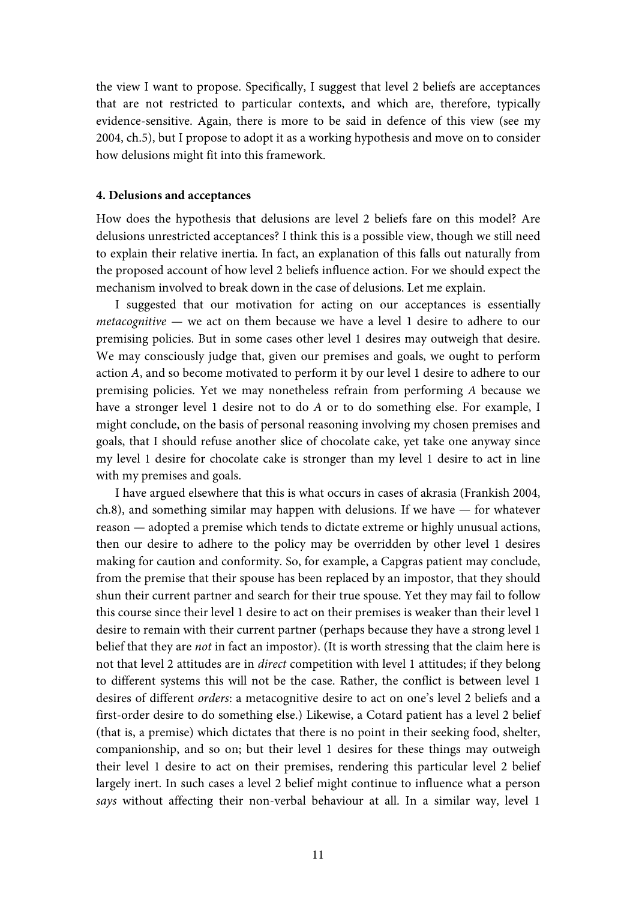the view I want to propose. Specifically, I suggest that level 2 beliefs are acceptances that are not restricted to particular contexts, and which are, therefore, typically evidence-sensitive. Again, there is more to be said in defence of this view (see my 2004, ch.5), but I propose to adopt it as a working hypothesis and move on to consider how delusions might fit into this framework.

#### **4. Delusions and acceptances**

How does the hypothesis that delusions are level 2 beliefs fare on this model? Are delusions unrestricted acceptances? I think this is a possible view, though we still need to explain their relative inertia. In fact, an explanation of this falls out naturally from the proposed account of how level 2 beliefs influence action. For we should expect the mechanism involved to break down in the case of delusions. Let me explain.

I suggested that our motivation for acting on our acceptances is essentially metacognitive — we act on them because we have a level 1 desire to adhere to our premising policies. But in some cases other level 1 desires may outweigh that desire. We may consciously judge that, given our premises and goals, we ought to perform action A, and so become motivated to perform it by our level 1 desire to adhere to our premising policies. Yet we may nonetheless refrain from performing A because we have a stronger level 1 desire not to do A or to do something else. For example, I might conclude, on the basis of personal reasoning involving my chosen premises and goals, that I should refuse another slice of chocolate cake, yet take one anyway since my level 1 desire for chocolate cake is stronger than my level 1 desire to act in line with my premises and goals.

I have argued elsewhere that this is what occurs in cases of akrasia (Frankish 2004, ch.8), and something similar may happen with delusions. If we have — for whatever reason — adopted a premise which tends to dictate extreme or highly unusual actions, then our desire to adhere to the policy may be overridden by other level 1 desires making for caution and conformity. So, for example, a Capgras patient may conclude, from the premise that their spouse has been replaced by an impostor, that they should shun their current partner and search for their true spouse. Yet they may fail to follow this course since their level 1 desire to act on their premises is weaker than their level 1 desire to remain with their current partner (perhaps because they have a strong level 1 belief that they are *not* in fact an impostor). (It is worth stressing that the claim here is not that level 2 attitudes are in direct competition with level 1 attitudes; if they belong to different systems this will not be the case. Rather, the conflict is between level 1 desires of different orders: a metacognitive desire to act on one's level 2 beliefs and a first-order desire to do something else.) Likewise, a Cotard patient has a level 2 belief (that is, a premise) which dictates that there is no point in their seeking food, shelter, companionship, and so on; but their level 1 desires for these things may outweigh their level 1 desire to act on their premises, rendering this particular level 2 belief largely inert. In such cases a level 2 belief might continue to influence what a person says without affecting their non-verbal behaviour at all. In a similar way, level 1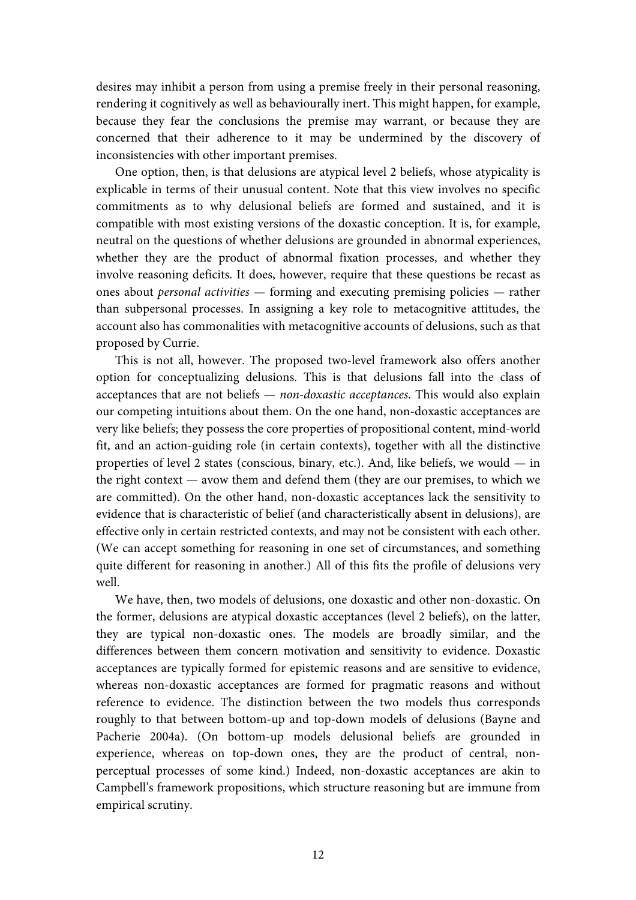desires may inhibit a person from using a premise freely in their personal reasoning, rendering it cognitively as well as behaviourally inert. This might happen, for example, because they fear the conclusions the premise may warrant, or because they are concerned that their adherence to it may be undermined by the discovery of inconsistencies with other important premises.

One option, then, is that delusions are atypical level 2 beliefs, whose atypicality is explicable in terms of their unusual content. Note that this view involves no specific commitments as to why delusional beliefs are formed and sustained, and it is compatible with most existing versions of the doxastic conception. It is, for example, neutral on the questions of whether delusions are grounded in abnormal experiences, whether they are the product of abnormal fixation processes, and whether they involve reasoning deficits. It does, however, require that these questions be recast as ones about personal activities — forming and executing premising policies — rather than subpersonal processes. In assigning a key role to metacognitive attitudes, the account also has commonalities with metacognitive accounts of delusions, such as that proposed by Currie.

This is not all, however. The proposed two-level framework also offers another option for conceptualizing delusions. This is that delusions fall into the class of acceptances that are not beliefs — non-doxastic acceptances. This would also explain our competing intuitions about them. On the one hand, non-doxastic acceptances are very like beliefs; they possess the core properties of propositional content, mind-world fit, and an action-guiding role (in certain contexts), together with all the distinctive properties of level 2 states (conscious, binary, etc.). And, like beliefs, we would  $-$  in the right context — avow them and defend them (they are our premises, to which we are committed). On the other hand, non-doxastic acceptances lack the sensitivity to evidence that is characteristic of belief (and characteristically absent in delusions), are effective only in certain restricted contexts, and may not be consistent with each other. (We can accept something for reasoning in one set of circumstances, and something quite different for reasoning in another.) All of this fits the profile of delusions very well.

We have, then, two models of delusions, one doxastic and other non-doxastic. On the former, delusions are atypical doxastic acceptances (level 2 beliefs), on the latter, they are typical non-doxastic ones. The models are broadly similar, and the differences between them concern motivation and sensitivity to evidence. Doxastic acceptances are typically formed for epistemic reasons and are sensitive to evidence, whereas non-doxastic acceptances are formed for pragmatic reasons and without reference to evidence. The distinction between the two models thus corresponds roughly to that between bottom-up and top-down models of delusions (Bayne and Pacherie 2004a). (On bottom-up models delusional beliefs are grounded in experience, whereas on top-down ones, they are the product of central, nonperceptual processes of some kind.) Indeed, non-doxastic acceptances are akin to Campbell's framework propositions, which structure reasoning but are immune from empirical scrutiny.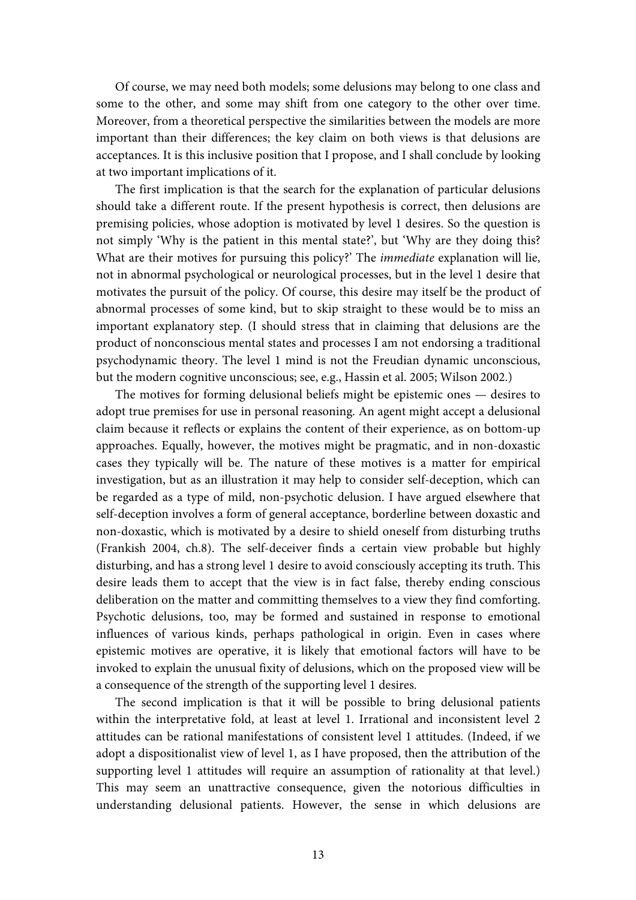Of course, we may need both models; some delusions may belong to one class and some to the other, and some may shift from one category to the other over time. Moreover, from a theoretical perspective the similarities between the models are more important than their differences; the key claim on both views is that delusions are acceptances. It is this inclusive position that I propose, and I shall conclude by looking at two important implications of it.

The first implication is that the search for the explanation of particular delusions should take a different route. If the present hypothesis is correct, then delusions are premising policies, whose adoption is motivated by level 1 desires. So the question is not simply 'Why is the patient in this mental state?', but 'Why are they doing this? What are their motives for pursuing this policy? The *immediate* explanation will lie, not in abnormal psychological or neurological processes, but in the level 1 desire that motivates the pursuit of the policy. Of course, this desire may itself be the product of abnormal processes of some kind, but to skip straight to these would be to miss an important explanatory step. (I should stress that in claiming that delusions are the product of nonconscious mental states and processes I am not endorsing a traditional psychodynamic theory. The level 1 mind is not the Freudian dynamic unconscious, but the modern cognitive unconscious; see, e.g., Hassin et al. 2005; Wilson 2002.)

The motives for forming delusional beliefs might be epistemic ones — desires to adopt true premises for use in personal reasoning. An agent might accept a delusional claim because it reflects or explains the content of their experience, as on bottom-up approaches. Equally, however, the motives might be pragmatic, and in non-doxastic cases they typically will be. The nature of these motives is a matter for empirical investigation, but as an illustration it may help to consider self-deception, which can be regarded as a type of mild, non-psychotic delusion. I have argued elsewhere that self-deception involves a form of general acceptance, borderline between doxastic and non-doxastic, which is motivated by a desire to shield oneself from disturbing truths (Frankish 2004, ch.8). The self-deceiver finds a certain view probable but highly disturbing, and has a strong level 1 desire to avoid consciously accepting its truth. This desire leads them to accept that the view is in fact false, thereby ending conscious deliberation on the matter and committing themselves to a view they find comforting. Psychotic delusions, too, may be formed and sustained in response to emotional influences of various kinds, perhaps pathological in origin. Even in cases where epistemic motives are operative, it is likely that emotional factors will have to be invoked to explain the unusual fixity of delusions, which on the proposed view will be a consequence of the strength of the supporting level 1 desires.

The second implication is that it will be possible to bring delusional patients within the interpretative fold, at least at level 1. Irrational and inconsistent level 2 attitudes can be rational manifestations of consistent level 1 attitudes. (Indeed, if we adopt a dispositionalist view of level 1, as I have proposed, then the attribution of the supporting level 1 attitudes will require an assumption of rationality at that level.) This may seem an unattractive consequence, given the notorious difficulties in understanding delusional patients. However, the sense in which delusions are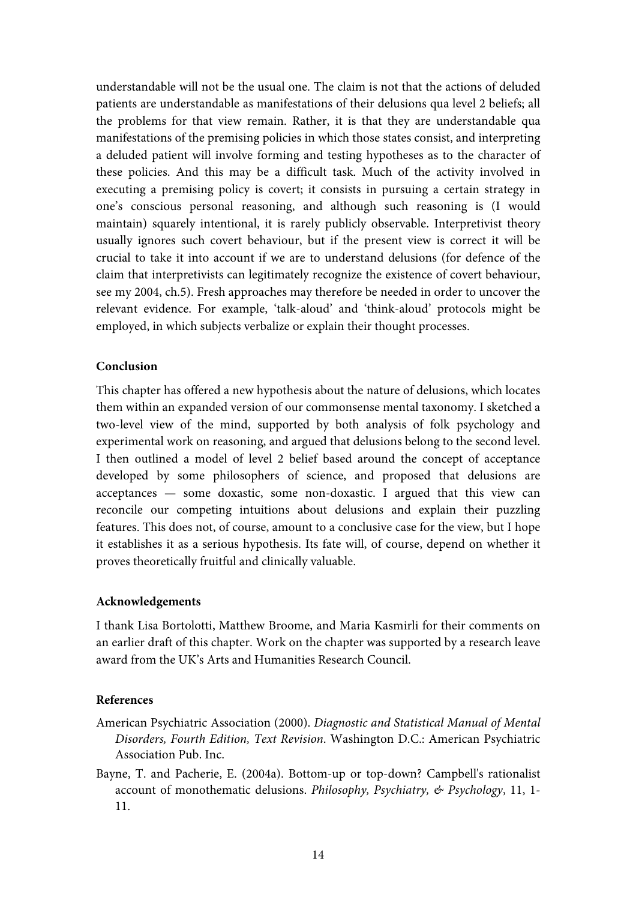understandable will not be the usual one. The claim is not that the actions of deluded patients are understandable as manifestations of their delusions qua level 2 beliefs; all the problems for that view remain. Rather, it is that they are understandable qua manifestations of the premising policies in which those states consist, and interpreting a deluded patient will involve forming and testing hypotheses as to the character of these policies. And this may be a difficult task. Much of the activity involved in executing a premising policy is covert; it consists in pursuing a certain strategy in one's conscious personal reasoning, and although such reasoning is (I would maintain) squarely intentional, it is rarely publicly observable. Interpretivist theory usually ignores such covert behaviour, but if the present view is correct it will be crucial to take it into account if we are to understand delusions (for defence of the claim that interpretivists can legitimately recognize the existence of covert behaviour, see my 2004, ch.5). Fresh approaches may therefore be needed in order to uncover the relevant evidence. For example, 'talk-aloud' and 'think-aloud' protocols might be employed, in which subjects verbalize or explain their thought processes.

# **Conclusion**

This chapter has offered a new hypothesis about the nature of delusions, which locates them within an expanded version of our commonsense mental taxonomy. I sketched a two-level view of the mind, supported by both analysis of folk psychology and experimental work on reasoning, and argued that delusions belong to the second level. I then outlined a model of level 2 belief based around the concept of acceptance developed by some philosophers of science, and proposed that delusions are acceptances — some doxastic, some non-doxastic. I argued that this view can reconcile our competing intuitions about delusions and explain their puzzling features. This does not, of course, amount to a conclusive case for the view, but I hope it establishes it as a serious hypothesis. Its fate will, of course, depend on whether it proves theoretically fruitful and clinically valuable.

## **Acknowledgements**

I thank Lisa Bortolotti, Matthew Broome, and Maria Kasmirli for their comments on an earlier draft of this chapter. Work on the chapter was supported by a research leave award from the UK's Arts and Humanities Research Council.

## **References**

- American Psychiatric Association (2000). Diagnostic and Statistical Manual of Mental Disorders, Fourth Edition, Text Revision. Washington D.C.: American Psychiatric Association Pub. Inc.
- Bayne, T. and Pacherie, E. (2004a). Bottom-up or top-down? Campbell's rationalist account of monothematic delusions. Philosophy, Psychiatry, & Psychology, 11, 1-11.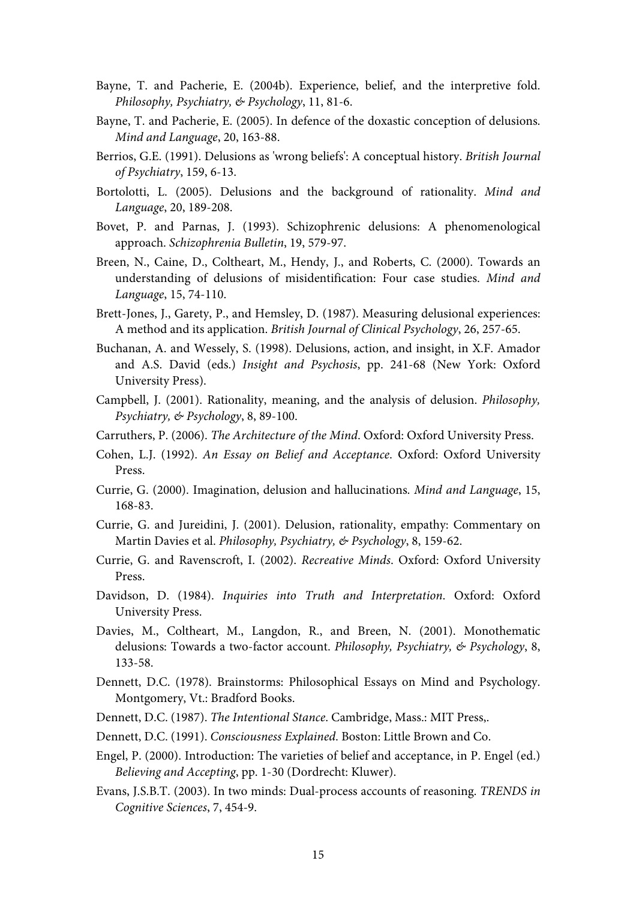- Bayne, T. and Pacherie, E. (2004b). Experience, belief, and the interpretive fold. Philosophy, Psychiatry, & Psychology, 11, 81-6.
- Bayne, T. and Pacherie, E. (2005). In defence of the doxastic conception of delusions. Mind and Language, 20, 163-88.
- Berrios, G.E. (1991). Delusions as 'wrong beliefs': A conceptual history. British Journal of Psychiatry, 159, 6-13.
- Bortolotti, L. (2005). Delusions and the background of rationality. Mind and Language, 20, 189-208.
- Bovet, P. and Parnas, J. (1993). Schizophrenic delusions: A phenomenological approach. Schizophrenia Bulletin, 19, 579-97.
- Breen, N., Caine, D., Coltheart, M., Hendy, J., and Roberts, C. (2000). Towards an understanding of delusions of misidentification: Four case studies. Mind and Language, 15, 74-110.
- Brett-Jones, J., Garety, P., and Hemsley, D. (1987). Measuring delusional experiences: A method and its application. British Journal of Clinical Psychology, 26, 257-65.
- Buchanan, A. and Wessely, S. (1998). Delusions, action, and insight, in X.F. Amador and A.S. David (eds.) Insight and Psychosis, pp. 241-68 (New York: Oxford University Press).
- Campbell, J. (2001). Rationality, meaning, and the analysis of delusion. Philosophy, Psychiatry, & Psychology, 8, 89-100.
- Carruthers, P. (2006). The Architecture of the Mind. Oxford: Oxford University Press.
- Cohen, L.J. (1992). An Essay on Belief and Acceptance. Oxford: Oxford University Press.
- Currie, G. (2000). Imagination, delusion and hallucinations. Mind and Language, 15, 168-83.
- Currie, G. and Jureidini, J. (2001). Delusion, rationality, empathy: Commentary on Martin Davies et al. Philosophy, Psychiatry, & Psychology, 8, 159-62.
- Currie, G. and Ravenscroft, I. (2002). Recreative Minds. Oxford: Oxford University Press.
- Davidson, D. (1984). Inquiries into Truth and Interpretation. Oxford: Oxford University Press.
- Davies, M., Coltheart, M., Langdon, R., and Breen, N. (2001). Monothematic delusions: Towards a two-factor account. Philosophy, Psychiatry, & Psychology, 8, 133-58.
- Dennett, D.C. (1978). Brainstorms: Philosophical Essays on Mind and Psychology. Montgomery, Vt.: Bradford Books.
- Dennett, D.C. (1987). The Intentional Stance. Cambridge, Mass.: MIT Press,.
- Dennett, D.C. (1991). Consciousness Explained. Boston: Little Brown and Co.
- Engel, P. (2000). Introduction: The varieties of belief and acceptance, in P. Engel (ed.) Believing and Accepting, pp. 1-30 (Dordrecht: Kluwer).
- Evans, J.S.B.T. (2003). In two minds: Dual-process accounts of reasoning. TRENDS in Cognitive Sciences, 7, 454-9.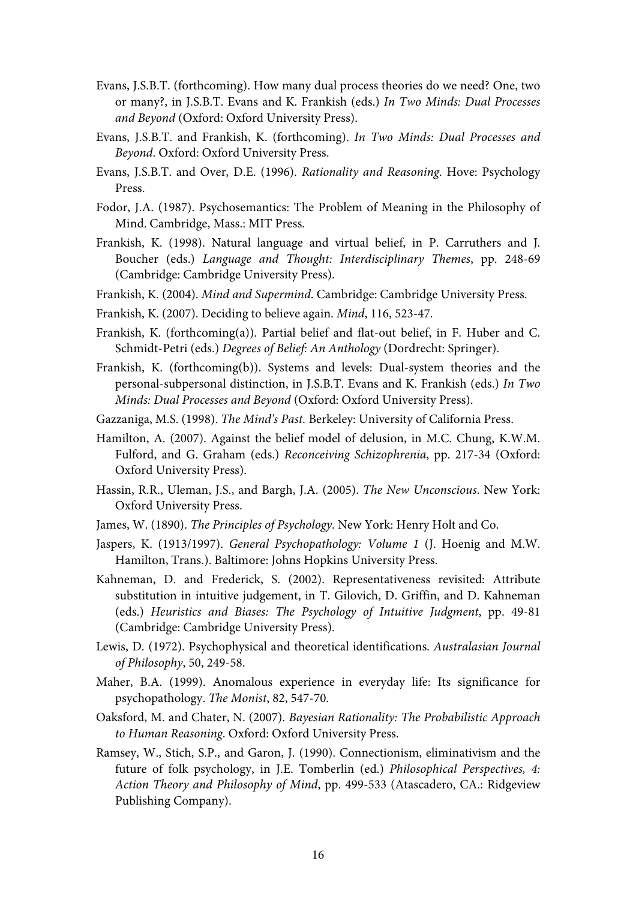- Evans, J.S.B.T. (forthcoming). How many dual process theories do we need? One, two or many?, in J.S.B.T. Evans and K. Frankish (eds.) In Two Minds: Dual Processes and Beyond (Oxford: Oxford University Press).
- Evans, J.S.B.T. and Frankish, K. (forthcoming). In Two Minds: Dual Processes and Beyond. Oxford: Oxford University Press.
- Evans, J.S.B.T. and Over, D.E. (1996). Rationality and Reasoning. Hove: Psychology Press.
- Fodor, J.A. (1987). Psychosemantics: The Problem of Meaning in the Philosophy of Mind. Cambridge, Mass.: MIT Press.
- Frankish, K. (1998). Natural language and virtual belief, in P. Carruthers and J. Boucher (eds.) Language and Thought: Interdisciplinary Themes, pp. 248-69 (Cambridge: Cambridge University Press).
- Frankish, K. (2004). Mind and Supermind. Cambridge: Cambridge University Press.
- Frankish, K. (2007). Deciding to believe again. Mind, 116, 523-47.
- Frankish, K. (forthcoming(a)). Partial belief and flat-out belief, in F. Huber and C. Schmidt-Petri (eds.) Degrees of Belief: An Anthology (Dordrecht: Springer).
- Frankish, K. (forthcoming(b)). Systems and levels: Dual-system theories and the personal-subpersonal distinction, in J.S.B.T. Evans and K. Frankish (eds.) In Two Minds: Dual Processes and Beyond (Oxford: Oxford University Press).
- Gazzaniga, M.S. (1998). The Mind's Past. Berkeley: University of California Press.
- Hamilton, A. (2007). Against the belief model of delusion, in M.C. Chung, K.W.M. Fulford, and G. Graham (eds.) Reconceiving Schizophrenia, pp. 217-34 (Oxford: Oxford University Press).
- Hassin, R.R., Uleman, J.S., and Bargh, J.A. (2005). The New Unconscious. New York: Oxford University Press.
- James, W. (1890). The Principles of Psychology. New York: Henry Holt and Co.
- Jaspers, K. (1913/1997). General Psychopathology: Volume 1 (J. Hoenig and M.W. Hamilton, Trans.). Baltimore: Johns Hopkins University Press.
- Kahneman, D. and Frederick, S. (2002). Representativeness revisited: Attribute substitution in intuitive judgement, in T. Gilovich, D. Griffin, and D. Kahneman (eds.) Heuristics and Biases: The Psychology of Intuitive Judgment, pp. 49-81 (Cambridge: Cambridge University Press).
- Lewis, D. (1972). Psychophysical and theoretical identifications. Australasian Journal of Philosophy, 50, 249-58.
- Maher, B.A. (1999). Anomalous experience in everyday life: Its significance for psychopathology. The Monist, 82, 547-70.
- Oaksford, M. and Chater, N. (2007). Bayesian Rationality: The Probabilistic Approach to Human Reasoning. Oxford: Oxford University Press.
- Ramsey, W., Stich, S.P., and Garon, J. (1990). Connectionism, eliminativism and the future of folk psychology, in J.E. Tomberlin (ed.) Philosophical Perspectives, 4: Action Theory and Philosophy of Mind, pp. 499-533 (Atascadero, CA.: Ridgeview Publishing Company).